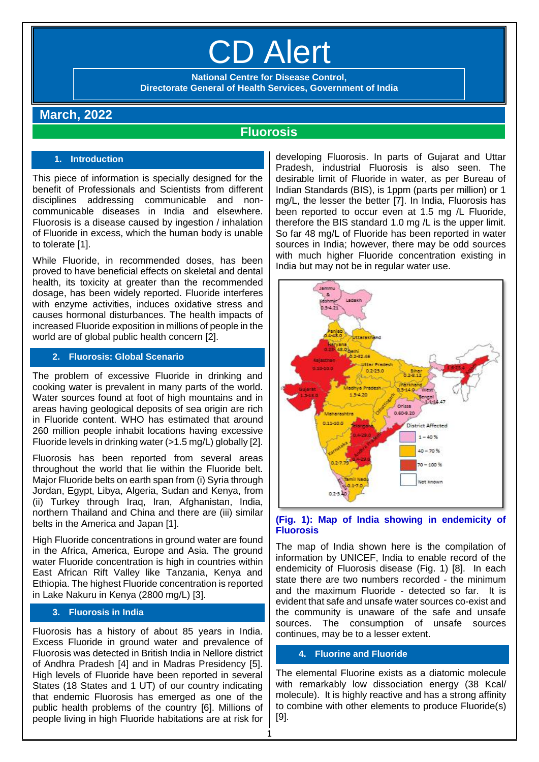# CD Alert

**National Centre for Disease Control, Directorate General of Health Services, Government of India**

# **March, 2022**

# **Fluorosis**

# **1. Introduction**

This piece of information is specially designed for the benefit of Professionals and Scientists from different disciplines addressing communicable and noncommunicable diseases in India and elsewhere. Fluorosis is a disease caused by ingestion / inhalation of Fluoride in excess, which the human body is unable to tolerate [1].

While Fluoride, in recommended doses, has been proved to have beneficial effects on skeletal and dental health, its toxicity at greater than the recommended dosage, has been widely reported. Fluoride interferes with enzyme activities, induces oxidative stress and causes hormonal disturbances. The health impacts of increased Fluoride exposition in millions of people in the world are of global public health concern [2].

# **2. Fluorosis: Global Scenario**

The problem of excessive Fluoride in drinking and cooking water is prevalent in many parts of the world. Water sources found at foot of high mountains and in areas having geological deposits of sea origin are rich in Fluoride content. WHO has estimated that around 260 million people inhabit locations having excessive Fluoride levels in drinking water (>1.5 mg/L) globally [2].

Fluorosis has been reported from several areas throughout the world that lie within the Fluoride belt. Major Fluoride belts on earth span from (i) Syria through Jordan, Egypt, Libya, Algeria, Sudan and Kenya, from (ii) Turkey through Iraq, Iran, Afghanistan, India, northern Thailand and China and there are (iii) similar belts in the America and Japan [1].

High Fluoride concentrations in ground water are found in the Africa, America, Europe and Asia. The ground water Fluoride concentration is high in countries within East African Rift Valley like Tanzania, Kenya and Ethiopia. The highest Fluoride concentration is reported in Lake Nakuru in Kenya (2800 mg/L) [3].

# **3. Fluorosis in India**

Fluorosis has a history of about 85 years in India. Excess Fluoride in ground water and prevalence of Fluorosis was detected in British India in Nellore district of Andhra Pradesh [4] and in Madras Presidency [5]. High levels of Fluoride have been reported in several States (18 States and 1 UT) of our country indicating that endemic Fluorosis has emerged as one of the public health problems of the country [6]. Millions of people living in high Fluoride habitations are at risk for developing Fluorosis. In parts of Gujarat and Uttar Pradesh, industrial Fluorosis is also seen. The desirable limit of Fluoride in water, as per Bureau of Indian Standards (BIS), is 1ppm (parts per million) or 1 mg/L, the lesser the better [7]. In India, Fluorosis has been reported to occur even at 1.5 mg /L Fluoride, therefore the BIS standard 1.0 mg /L is the upper limit. So far 48 mg/L of Fluoride has been reported in water sources in India; however, there may be odd sources with much higher Fluoride concentration existing in India but may not be in regular water use.



## **(Fig. 1): Map of India showing in endemicity of Fluorosis**

The map of India shown here is the compilation of information by UNICEF, India to enable record of the endemicity of Fluorosis disease (Fig. 1) [8]. In each state there are two numbers recorded - the minimum and the maximum Fluoride - detected so far. It is evident that safe and unsafe water sources co-exist and the community is unaware of the safe and unsafe sources. The consumption of unsafe sources continues, may be to a lesser extent.

# **4. Fluorine and Fluoride**

1

The elemental Fluorine exists as a diatomic molecule with remarkably low dissociation energy (38 Kcal/ molecule). It is highly reactive and has a strong affinity to combine with other elements to produce Fluoride(s) [9].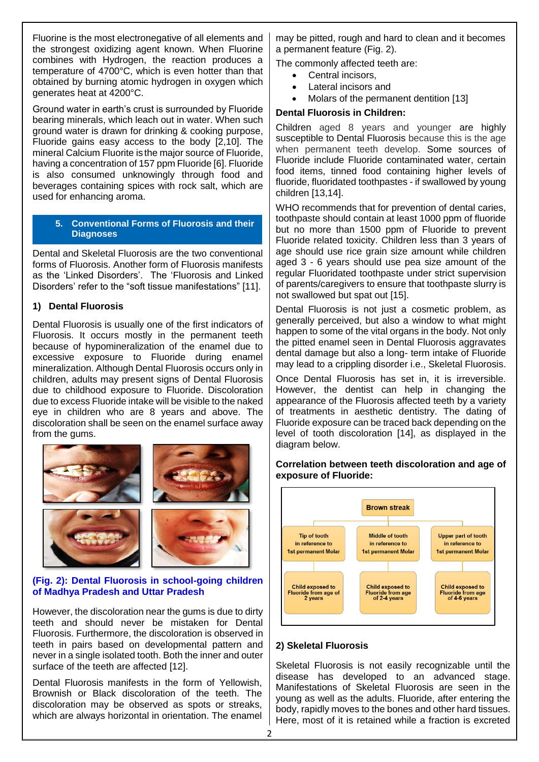Fluorine is the most electronegative of all elements and the strongest oxidizing agent known. When Fluorine combines with Hydrogen, the reaction produces a temperature of 4700°C, which is even hotter than that obtained by burning atomic hydrogen in oxygen which generates heat at 4200°C.

Ground water in earth's crust is surrounded by Fluoride bearing minerals, which leach out in water. When such ground water is drawn for drinking & cooking purpose, Fluoride gains easy access to the body [2,10]. The mineral Calcium Fluorite is the major source of Fluoride, having a concentration of 157 ppm Fluoride [6]. Fluoride is also consumed unknowingly through food and beverages containing spices with rock salt, which are used for enhancing aroma.

#### **5. Conventional Forms of Fluorosis and their Diagnoses**

Dental and Skeletal Fluorosis are the two conventional forms of Fluorosis. Another form of Fluorosis manifests as the 'Linked Disorders'. The 'Fluorosis and Linked Disorders' refer to the "soft tissue manifestations" [11].

# **1) Dental Fluorosis**

Dental Fluorosis is usually one of the first indicators of Fluorosis. It occurs mostly in the permanent teeth because of hypomineralization of the enamel due to excessive exposure to Fluoride during enamel mineralization. Although Dental Fluorosis occurs only in children, adults may present signs of Dental Fluorosis due to childhood exposure to Fluoride. Discoloration due to excess Fluoride intake will be visible to the naked eye in children who are 8 years and above. The discoloration shall be seen on the enamel surface away from the gums.



## **(Fig. 2): Dental Fluorosis in school-going children of Madhya Pradesh and Uttar Pradesh**

However, the discoloration near the gums is due to dirty teeth and should never be mistaken for Dental Fluorosis. Furthermore, the discoloration is observed in teeth in pairs based on developmental pattern and never in a single isolated tooth. Both the inner and outer surface of the teeth are affected [12].

Dental Fluorosis manifests in the form of Yellowish, Brownish or Black discoloration of the teeth. The discoloration may be observed as spots or streaks, which are always horizontal in orientation. The enamel

may be pitted, rough and hard to clean and it becomes a permanent feature (Fig. 2).

The commonly affected teeth are:

- Central incisors.
- Lateral incisors and
- Molars of the permanent dentition [13]

# **Dental Fluorosis in Children:**

Children aged 8 years and younger are highly susceptible to Dental Fluorosis because this is the age when permanent teeth develop. Some sources of Fluoride include Fluoride contaminated water, certain food items, tinned food containing higher levels of fluoride, fluoridated toothpastes - if swallowed by young children [13,14].

WHO recommends that for prevention of dental caries, toothpaste should contain at least 1000 ppm of fluoride but no more than 1500 ppm of Fluoride to prevent Fluoride related toxicity. Children less than 3 years of age should use rice grain size amount while children aged 3 - 6 years should use pea size amount of the regular Fluoridated toothpaste under strict supervision of parents/caregivers to ensure that toothpaste slurry is not swallowed but spat out [15].

Dental Fluorosis is not just a cosmetic problem, as generally perceived, but also a window to what might happen to some of the vital organs in the body. Not only the pitted enamel seen in Dental Fluorosis aggravates dental damage but also a long- term intake of Fluoride may lead to a crippling disorder i.e., Skeletal Fluorosis.

Once Dental Fluorosis has set in, it is irreversible. However, the dentist can help in changing the appearance of the Fluorosis affected teeth by a variety of treatments in aesthetic dentistry. The dating of Fluoride exposure can be traced back depending on the level of tooth discoloration [14], as displayed in the diagram below.

## **Correlation between teeth discoloration and age of exposure of Fluoride:**



# **2) Skeletal Fluorosis**

Skeletal Fluorosis is not easily recognizable until the disease has developed to an advanced stage. Manifestations of Skeletal Fluorosis are seen in the young as well as the adults. Fluoride, after entering the body, rapidly moves to the bones and other hard tissues. Here, most of it is retained while a fraction is excreted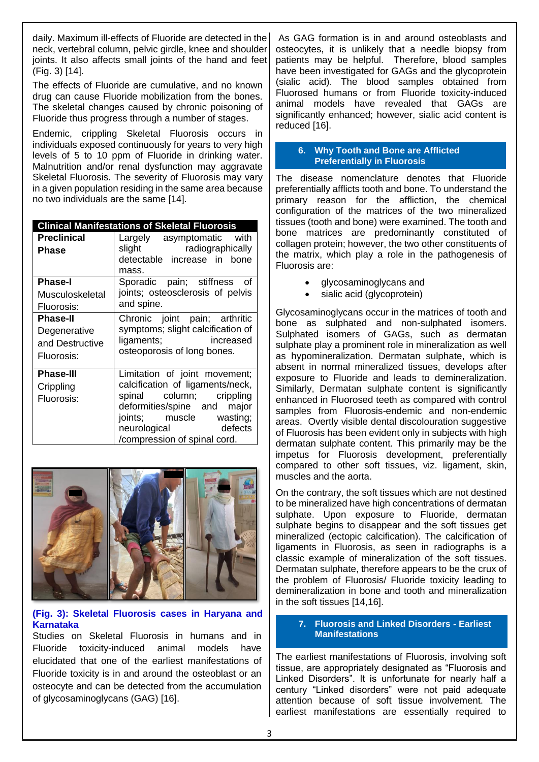daily. Maximum ill-effects of Fluoride are detected in the neck, vertebral column, pelvic girdle, knee and shoulder joints. It also affects small joints of the hand and feet (Fig. 3) [14].

The effects of Fluoride are cumulative, and no known drug can cause Fluoride mobilization from the bones. The skeletal changes caused by chronic poisoning of Fluoride thus progress through a number of stages.

Endemic, crippling Skeletal Fluorosis occurs in individuals exposed continuously for years to very high levels of 5 to 10 ppm of Fluoride in drinking water. Malnutrition and/or renal dysfunction may aggravate Skeletal Fluorosis. The severity of Fluorosis may vary in a given population residing in the same area because no two individuals are the same [14].

#### **Clinical Manifestations of Skeletal Fluorosis**

| <b>Preclinical</b><br>Phase                                      | Largely asymptomatic with<br>slight<br>radiographically<br>detectable increase in bone<br>mass.                                                                                                                       |
|------------------------------------------------------------------|-----------------------------------------------------------------------------------------------------------------------------------------------------------------------------------------------------------------------|
| <b>Phase-I</b><br>Musculoskeletal<br>Fluorosis:                  | Sporadic pain; stiffness<br>of<br>joints; osteosclerosis of pelvis<br>and spine.                                                                                                                                      |
| <b>Phase-II</b><br>Degenerative<br>and Destructive<br>Fluorosis: | Chronic joint pain; arthritic<br>symptoms; slight calcification of<br>ligaments;<br>increased<br>osteoporosis of long bones.                                                                                          |
| <b>Phase-III</b><br>Crippling<br>Fluorosis:                      | Limitation of joint movement;<br>calcification of ligaments/neck,<br>column; crippling<br>spinal<br>deformities/spine and major<br>joints; muscle wasting;<br>defects<br>neurological<br>/compression of spinal cord. |



## **(Fig. 3): Skeletal Fluorosis cases in Haryana and Karnataka**

Studies on Skeletal Fluorosis in humans and in Fluoride toxicity-induced animal models have elucidated that one of the earliest manifestations of Fluoride toxicity is in and around the osteoblast or an osteocyte and can be detected from the accumulation of glycosaminoglycans (GAG) [16].

As GAG formation is in and around osteoblasts and osteocytes, it is unlikely that a needle biopsy from patients may be helpful. Therefore, blood samples have been investigated for GAGs and the glycoprotein (sialic acid). The blood samples obtained from Fluorosed humans or from Fluoride toxicity-induced animal models have revealed that GAGs are significantly enhanced; however, sialic acid content is reduced [16].

#### **6. Why Tooth and Bone are Afflicted Preferentially in Fluorosis**

The disease nomenclature denotes that Fluoride preferentially afflicts tooth and bone. To understand the primary reason for the affliction, the chemical configuration of the matrices of the two mineralized tissues (tooth and bone) were examined. The tooth and bone matrices are predominantly constituted of collagen protein; however, the two other constituents of the matrix, which play a role in the pathogenesis of Fluorosis are:

- glycosaminoglycans and
- sialic acid (glycoprotein)

Glycosaminoglycans occur in the matrices of tooth and bone as sulphated and non-sulphated isomers. Sulphated isomers of GAGs, such as dermatan sulphate play a prominent role in mineralization as well as hypomineralization. Dermatan sulphate, which is absent in normal mineralized tissues, develops after exposure to Fluoride and leads to demineralization. Similarly, Dermatan sulphate content is significantly enhanced in Fluorosed teeth as compared with control samples from Fluorosis-endemic and non-endemic areas. Overtly visible dental discolouration suggestive of Fluorosis has been evident only in subjects with high dermatan sulphate content. This primarily may be the impetus for Fluorosis development, preferentially compared to other soft tissues, viz. ligament, skin, muscles and the aorta.

On the contrary, the soft tissues which are not destined to be mineralized have high concentrations of dermatan sulphate. Upon exposure to Fluoride, dermatan sulphate begins to disappear and the soft tissues get mineralized (ectopic calcification). The calcification of ligaments in Fluorosis, as seen in radiographs is a classic example of mineralization of the soft tissues. Dermatan sulphate, therefore appears to be the crux of the problem of Fluorosis/ Fluoride toxicity leading to demineralization in bone and tooth and mineralization in the soft tissues [14,16].

#### **7. Fluorosis and Linked Disorders - Earliest Manifestations**

The earliest manifestations of Fluorosis, involving soft tissue, are appropriately designated as "Fluorosis and Linked Disorders". It is unfortunate for nearly half a century "Linked disorders" were not paid adequate attention because of soft tissue involvement. The earliest manifestations are essentially required to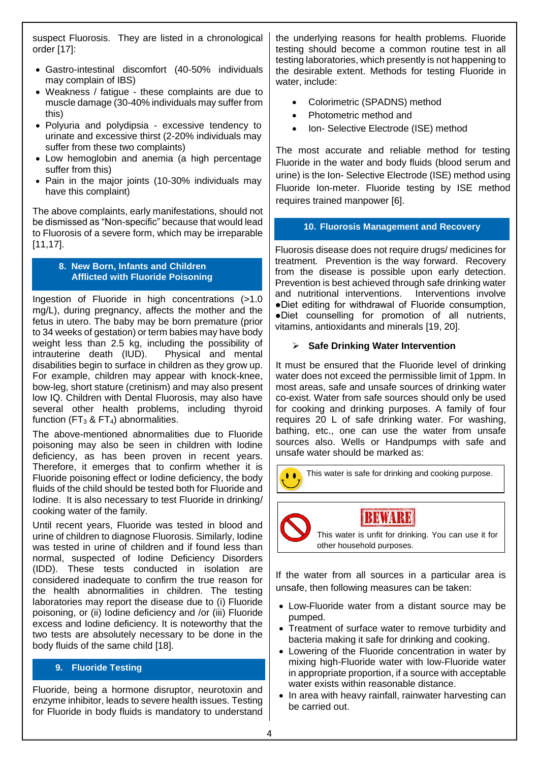suspect Fluorosis. They are listed in a chronological order [17]:

- Gastro-intestinal discomfort (40-50% individuals may complain of IBS)
- Weakness / fatigue these complaints are due to muscle damage (30-40% individuals may suffer from this)
- Polyuria and polydipsia excessive tendency to urinate and excessive thirst (2-20% individuals may suffer from these two complaints)
- Low hemoglobin and anemia (a high percentage suffer from this)
- Pain in the major joints (10-30% individuals may have this complaint)

The above complaints, early manifestations, should not be dismissed as "Non-specific" because that would lead to Fluorosis of a severe form, which may be irreparable [11,17].

#### **8. New Born, Infants and Children Afflicted with Fluoride Poisoning**

Ingestion of Fluoride in high concentrations (>1.0 mg/L), during pregnancy, affects the mother and the fetus in utero. The baby may be born premature (prior to 34 weeks of gestation) or term babies may have body weight less than 2.5 kg, including the possibility of intrauterine death (IUD). Physical and mental disabilities begin to surface in children as they grow up. For example, children may appear with knock-knee, bow-leg, short stature (cretinism) and may also present low IQ. Children with Dental Fluorosis, may also have several other health problems, including thyroid function (FT $_3$  & FT $_4$ ) abnormalities.

The above-mentioned abnormalities due to Fluoride poisoning may also be seen in children with Iodine deficiency, as has been proven in recent years. Therefore, it emerges that to confirm whether it is Fluoride poisoning effect or Iodine deficiency, the body fluids of the child should be tested both for Fluoride and Iodine. It is also necessary to test Fluoride in drinking/ cooking water of the family.

Until recent years, Fluoride was tested in blood and urine of children to diagnose Fluorosis. Similarly, Iodine was tested in urine of children and if found less than normal, suspected of Iodine Deficiency Disorders (IDD). These tests conducted in isolation are considered inadequate to confirm the true reason for the health abnormalities in children. The testing laboratories may report the disease due to (i) Fluoride poisoning, or (ii) Iodine deficiency and /or (iii) Fluoride excess and Iodine deficiency. It is noteworthy that the two tests are absolutely necessary to be done in the body fluids of the same child [18].

# **9. Fluoride Testing**

Fluoride, being a hormone disruptor, neurotoxin and enzyme inhibitor, leads to severe health issues. Testing for Fluoride in body fluids is mandatory to understand the underlying reasons for health problems. Fluoride testing should become a common routine test in all testing laboratories, which presently is not happening to the desirable extent. Methods for testing Fluoride in water, include:

- Colorimetric (SPADNS) method
- Photometric method and
- Ion- Selective Electrode (ISE) method

The most accurate and reliable method for testing Fluoride in the water and body fluids (blood serum and urine) is the Ion- Selective Electrode (ISE) method using Fluoride Ion-meter. Fluoride testing by ISE method requires trained manpower [6].

# **10. Fluorosis Management and Recovery**

Fluorosis disease does not require drugs/ medicines for treatment. Prevention is the way forward. Recovery from the disease is possible upon early detection. Prevention is best achieved through safe drinking water and nutritional interventions. Interventions involve ●Diet editing for withdrawal of Fluoride consumption, ●Diet counselling for promotion of all nutrients, vitamins, antioxidants and minerals [19, 20].

# ➢ **Safe Drinking Water Intervention**

It must be ensured that the Fluoride level of drinking water does not exceed the permissible limit of 1ppm. In most areas, safe and unsafe sources of drinking water co-exist. Water from safe sources should only be used for cooking and drinking purposes. A family of four requires 20 L of safe drinking water. For washing, bathing, etc., one can use the water from unsafe sources also. Wells or Handpumps with safe and unsafe water should be marked as:

**COLORED This water is safe for drinking and cooking purpose.** 

**BEWARE** 

This water is unfit for drinking. You can use it for other household purposes.

If the water from all sources in a particular area is unsafe, then following measures can be taken:

- Low-Fluoride water from a distant source may be pumped.
- Treatment of surface water to remove turbidity and bacteria making it safe for drinking and cooking.
- Lowering of the Fluoride concentration in water by mixing high-Fluoride water with low-Fluoride water in appropriate proportion, if a source with acceptable water exists within reasonable distance.
- In area with heavy rainfall, rainwater harvesting can be carried out.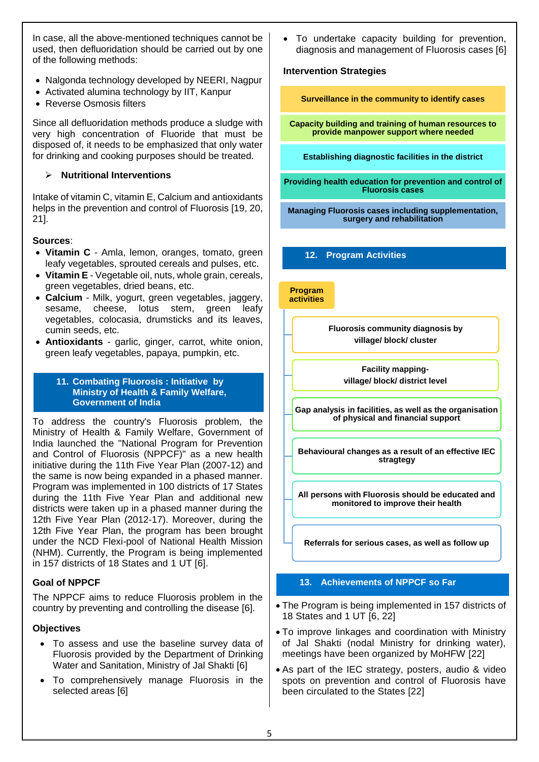In case, all the above-mentioned techniques cannot be used, then defluoridation should be carried out by one of the following methods:

- Nalgonda technology developed by NEERI, Nagpur
- Activated alumina technology by IIT, Kanpur
- Reverse Osmosis filters

Since all defluoridation methods produce a sludge with very high concentration of Fluoride that must be disposed of, it needs to be emphasized that only water for drinking and cooking purposes should be treated.

## ➢ **Nutritional Interventions**

Intake of vitamin C, vitamin E, Calcium and antioxidants helps in the prevention and control of Fluorosis [19, 20, 21].

#### **Sources**:

- **Vitamin C** Amla, lemon, oranges, tomato, green leafy vegetables, sprouted cereals and pulses, etc.
- **Vitamin E** Vegetable oil, nuts, whole grain, cereals, green vegetables, dried beans, etc.
- **Calcium**  Milk, yogurt, green vegetables, jaggery, sesame, cheese, lotus stem, green leafy vegetables, colocasia, drumsticks and its leaves, cumin seeds, etc.
- **Antioxidants** garlic, ginger, carrot, white onion, green leafy vegetables, papaya, pumpkin, etc.

#### **11. Combating Fluorosis : Initiative by Ministry of Health & Family Welfare, Government of India**

To address the country's Fluorosis problem, the Ministry of Health & Family Welfare, Government of India launched the "National Program for Prevention and Control of Fluorosis (NPPCF)" as a new health initiative during the 11th Five Year Plan (2007-12) and the same is now being expanded in a phased manner. Program was implemented in 100 districts of 17 States during the 11th Five Year Plan and additional new districts were taken up in a phased manner during the 12th Five Year Plan (2012-17). Moreover, during the 12th Five Year Plan, the program has been brought under the NCD Flexi-pool of National Health Mission (NHM). Currently, the Program is being implemented in 157 districts of 18 States and 1 UT [6].

# **Goal of NPPCF**

The NPPCF aims to reduce Fluorosis problem in the country by preventing and controlling the disease [6].

#### **Objectives**

- To assess and use the baseline survey data of Fluorosis provided by the Department of Drinking Water and Sanitation, Ministry of Jal Shakti [6]
- To comprehensively manage Fluorosis in the selected areas [6]

To undertake capacity building for prevention, diagnosis and management of Fluorosis cases [6]

#### **Intervention Strategies**

**Surveillance in the community to identify cases**

**Capacity building and training of human resources to provide manpower support where needed**

**Establishing diagnostic facilities in the district**

**Providing health education for prevention and control of Fluorosis cases**

**Managing Fluorosis cases including supplementation, surgery and rehabilitation**

**12. Program Activities**

**Program activities**

> **Fluorosis community diagnosis by village/ block/ cluster**

> > **Facility mappingvillage/ block/ district level**

**Gap analysis in facilities, as well as the organisation of physical and financial support**

**Behavioural changes as a result of an effective IEC stragtegy**

**All persons with Fluorosis should be educated and monitored to improve their health**

**Referrals for serious cases, as well as follow up**

#### **13. Achievements of NPPCF so Far**

- The Program is being implemented in 157 districts of 18 States and 1 UT [6, 22]
- To improve linkages and coordination with Ministry of Jal Shakti (nodal Ministry for drinking water), meetings have been organized by MoHFW [22]
- As part of the IEC strategy, posters, audio & video spots on prevention and control of Fluorosis have been circulated to the States [22]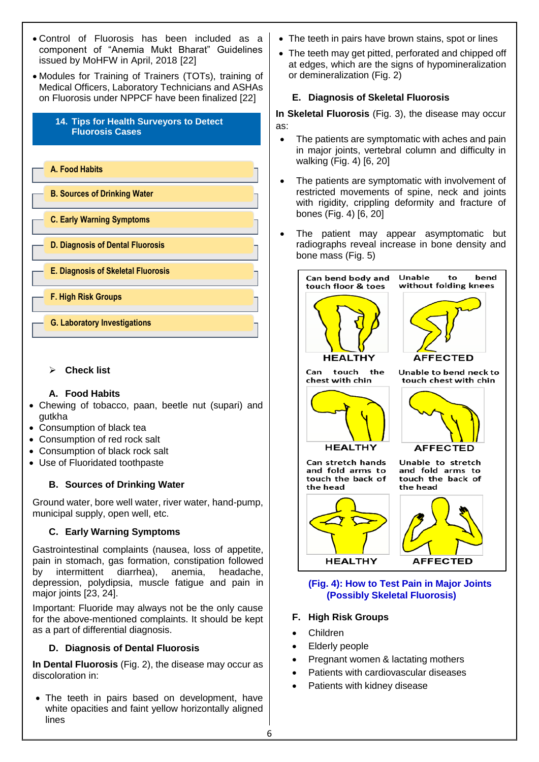- Control of Fluorosis has been included as a component of "Anemia Mukt Bharat" Guidelines issued by MoHFW in April, 2018 [22] or demineralization (Fig. 2) • Modules for Training of Trainers (TOTs), training of Medical Officers, Laboratory Technicians and ASHAs on Fluorosis under NPPCF have been finalized [22] **14. Tips for Health Surveyors to Detect**  as: **Fluorosis Cases** walking (Fig. 4) [6, 20] **A. Food Habits B. Sources of Drinking Water** bones (Fig. 4) [6, 20] **C. Early Warning Symptoms D. Diagnosis of Dental Fluorosis** bone mass (Fig. 5) **E. Diagnosis of Skeletal Fluorosis** Can bend body and Unable touch floor & toes **F. High Risk Groups G. Laboratory Investigations**
	- ➢ **Check list**

# **A. Food Habits**

- Chewing of tobacco, paan, beetle nut (supari) and gutkha
- Consumption of black tea
- Consumption of red rock salt
- Consumption of black rock salt
- Use of Fluoridated toothpaste

# **B. Sources of Drinking Water**

Ground water, bore well water, river water, hand-pump, municipal supply, open well, etc.

# **C. Early Warning Symptoms**

Gastrointestinal complaints (nausea, loss of appetite, pain in stomach, gas formation, constipation followed by intermittent diarrhea), anemia, headache, depression, polydipsia, muscle fatigue and pain in major joints [23, 24].

Important: Fluoride may always not be the only cause for the above-mentioned complaints. It should be kept as a part of differential diagnosis.

# **D. Diagnosis of Dental Fluorosis**

**In Dental Fluorosis** (Fig. 2), the disease may occur as discoloration in:

• The teeth in pairs based on development, have white opacities and faint yellow horizontally aligned lines

- The teeth in pairs have brown stains, spot or lines
- The teeth may get pitted, perforated and chipped off at edges, which are the signs of hypomineralization

# **E. Diagnosis of Skeletal Fluorosis**

**In Skeletal Fluorosis** (Fig. 3), the disease may occur

- The patients are symptomatic with aches and pain in major joints, vertebral column and difficulty in
- The patients are symptomatic with involvement of restricted movements of spine, neck and joints with rigidity, crippling deformity and fracture of
- The patient may appear asymptomatic but radiographs reveal increase in bone density and



## **(Fig. 4): How to Test Pain in Major Joints (Possibly Skeletal Fluorosis)**

# **F. High Risk Groups**

- Children
- Elderly people
- Pregnant women & lactating mothers
- Patients with cardiovascular diseases
- Patients with kidney disease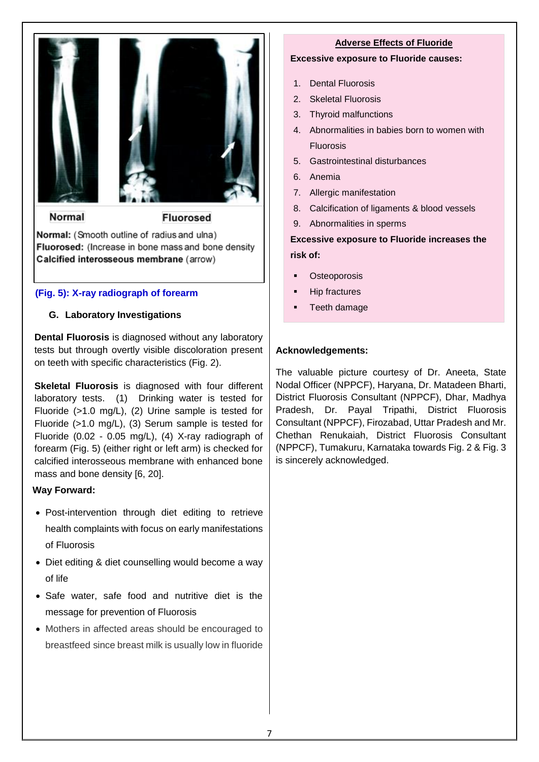



Normal

**Fluorosed** 

Normal: (Smooth outline of radius and ulna) Fluorosed: (Increase in bone mass and bone density Calcified interosseous membrane (arrow)

# **(Fig. 5): X-ray radiograph of forearm**

# **G. Laboratory Investigations**

**Dental Fluorosis** is diagnosed without any laboratory tests but through overtly visible discoloration present on teeth with specific characteristics (Fig. 2).

**Skeletal Fluorosis** is diagnosed with four different laboratory tests. (1) Drinking water is tested for Fluoride (>1.0 mg/L), (2) Urine sample is tested for Fluoride (>1.0 mg/L), (3) Serum sample is tested for Fluoride (0.02 - 0.05 mg/L), (4) X-ray radiograph of forearm (Fig. 5) (either right or left arm) is checked for calcified interosseous membrane with enhanced bone mass and bone density [6, 20].

# **Way Forward:**

- Post-intervention through diet editing to retrieve health complaints with focus on early manifestations of Fluorosis
- Diet editing & diet counselling would become a way of life
- Safe water, safe food and nutritive diet is the message for prevention of Fluorosis
- Mothers in affected areas should be encouraged to breastfeed since breast milk is usually low in fluoride

# **Adverse Effects of Fluoride**

## **Excessive exposure to Fluoride causes:**

- 1. Dental Fluorosis
- 2. Skeletal Fluorosis
- 3. Thyroid malfunctions
- 4. Abnormalities in babies born to women with Fluorosis
- 5. Gastrointestinal disturbances
- 6. Anemia
- 7. Allergic manifestation
- 8. Calcification of ligaments & blood vessels
- 9. Abnormalities in sperms

**Excessive exposure to Fluoride increases the risk of:** 

- Osteoporosis
- **Hip fractures**
- Teeth damage

# **Acknowledgements:**

The valuable picture courtesy of Dr. Aneeta, State Nodal Officer (NPPCF), Haryana, Dr. Matadeen Bharti, District Fluorosis Consultant (NPPCF), Dhar, Madhya Pradesh, Dr. Payal Tripathi, District Fluorosis Consultant (NPPCF), Firozabad, Uttar Pradesh and Mr. Chethan Renukaiah, District Fluorosis Consultant (NPPCF), Tumakuru, Karnataka towards Fig. 2 & Fig. 3 is sincerely acknowledged.